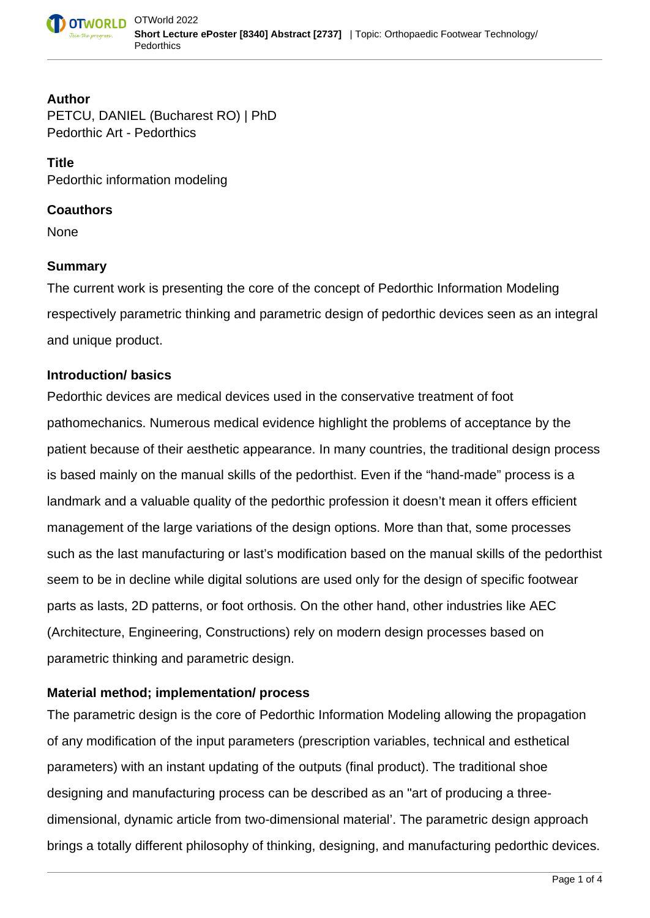

### **Author**

PETCU, DANIEL (Bucharest RO) | PhD Pedorthic Art - Pedorthics

**Title** Pedorthic information modeling

### **Coauthors**

None

# **Summary**

The current work is presenting the core of the concept of Pedorthic Information Modeling respectively parametric thinking and parametric design of pedorthic devices seen as an integral and unique product.

# **Introduction/ basics**

Pedorthic devices are medical devices used in the conservative treatment of foot pathomechanics. Numerous medical evidence highlight the problems of acceptance by the patient because of their aesthetic appearance. In many countries, the traditional design process is based mainly on the manual skills of the pedorthist. Even if the "hand-made" process is a landmark and a valuable quality of the pedorthic profession it doesn't mean it offers efficient management of the large variations of the design options. More than that, some processes such as the last manufacturing or last's modification based on the manual skills of the pedorthist seem to be in decline while digital solutions are used only for the design of specific footwear parts as lasts, 2D patterns, or foot orthosis. On the other hand, other industries like AEC (Architecture, Engineering, Constructions) rely on modern design processes based on parametric thinking and parametric design.

# **Material method; implementation/ process**

The parametric design is the core of Pedorthic Information Modeling allowing the propagation of any modification of the input parameters (prescription variables, technical and esthetical parameters) with an instant updating of the outputs (final product). The traditional shoe designing and manufacturing process can be described as an "art of producing a threedimensional, dynamic article from two-dimensional material'. The parametric design approach brings a totally different philosophy of thinking, designing, and manufacturing pedorthic devices.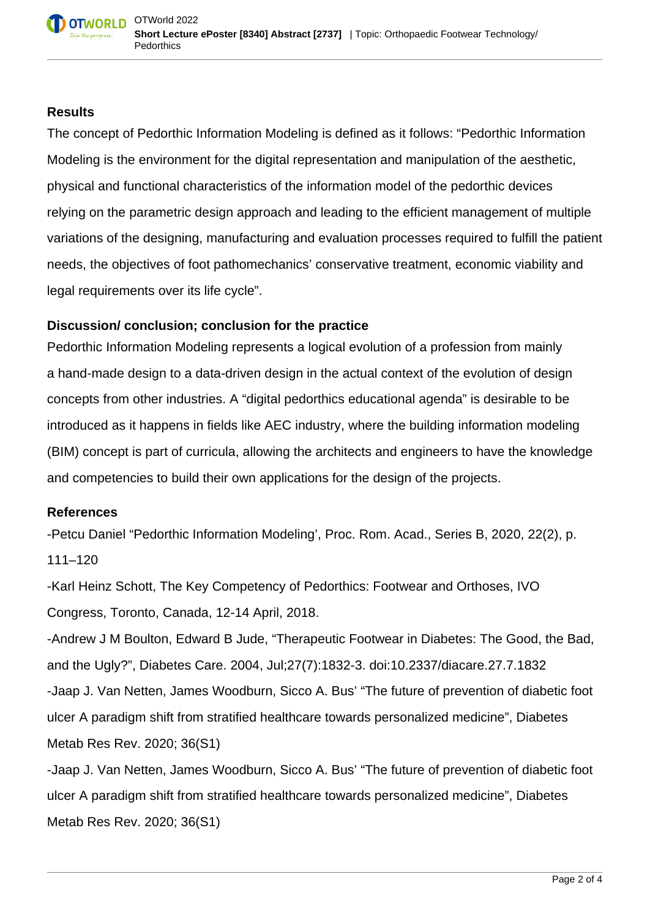### **Results**

The concept of Pedorthic Information Modeling is defined as it follows: "Pedorthic Information Modeling is the environment for the digital representation and manipulation of the aesthetic, physical and functional characteristics of the information model of the pedorthic devices relying on the parametric design approach and leading to the efficient management of multiple variations of the designing, manufacturing and evaluation processes required to fulfill the patient needs, the objectives of foot pathomechanics' conservative treatment, economic viability and legal requirements over its life cycle".

# **Discussion/ conclusion; conclusion for the practice**

Pedorthic Information Modeling represents a logical evolution of a profession from mainly a hand-made design to a data-driven design in the actual context of the evolution of design concepts from other industries. A "digital pedorthics educational agenda" is desirable to be introduced as it happens in fields like AEC industry, where the building information modeling (BIM) concept is part of curricula, allowing the architects and engineers to have the knowledge and competencies to build their own applications for the design of the projects.

# **References**

-Petcu Daniel "Pedorthic Information Modeling', Proc. Rom. Acad., Series B, 2020, 22(2), p. 111–120

-Karl Heinz Schott, The Key Competency of Pedorthics: Footwear and Orthoses, IVO Congress, Toronto, Canada, 12-14 April, 2018.

-Andrew J M Boulton, Edward B Jude, "Therapeutic Footwear in Diabetes: The Good, the Bad, and the Ugly?", Diabetes Care. 2004, Jul;27(7):1832-3. doi:10.2337/diacare.27.7.1832 -Jaap J. Van Netten, James Woodburn, Sicco A. Bus' "The future of prevention of diabetic foot ulcer A paradigm shift from stratified healthcare towards personalized medicine", Diabetes Metab Res Rev. 2020; 36(S1)

-Jaap J. Van Netten, James Woodburn, Sicco A. Bus' "The future of prevention of diabetic foot ulcer A paradigm shift from stratified healthcare towards personalized medicine", Diabetes Metab Res Rev. 2020; 36(S1)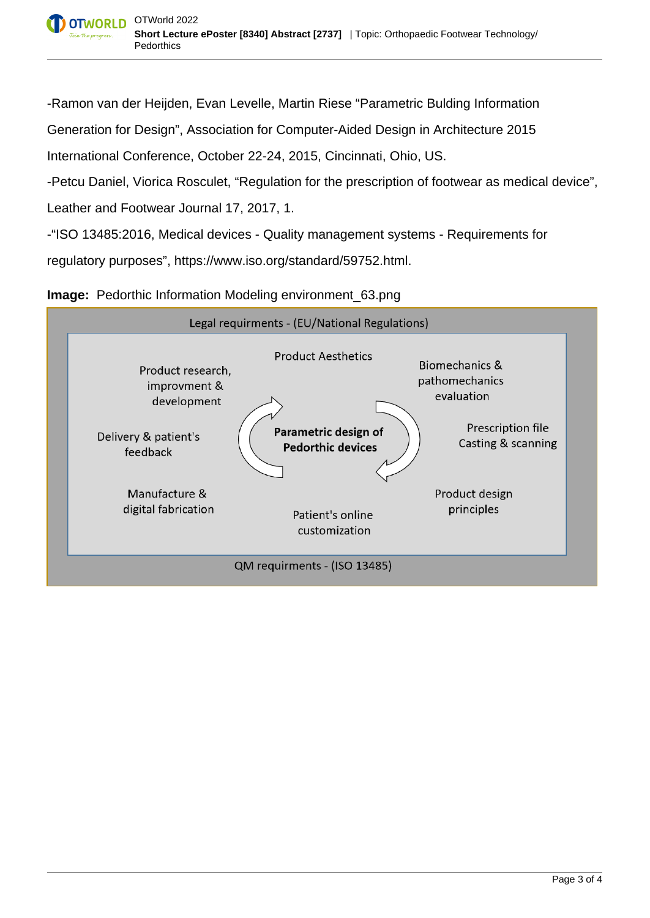-Ramon van der Heijden, Evan Levelle, Martin Riese "Parametric Bulding Information

Generation for Design", Association for Computer-Aided Design in Architecture 2015

International Conference, October 22-24, 2015, Cincinnati, Ohio, US.

-Petcu Daniel, Viorica Rosculet, "Regulation for the prescription of footwear as medical device",

Leather and Footwear Journal 17, 2017, 1.

-"ISO 13485:2016, Medical devices - Quality management systems - Requirements for

regulatory purposes", https://www.iso.org/standard/59752.html.

#### **Image:** Pedorthic Information Modeling environment 63.png